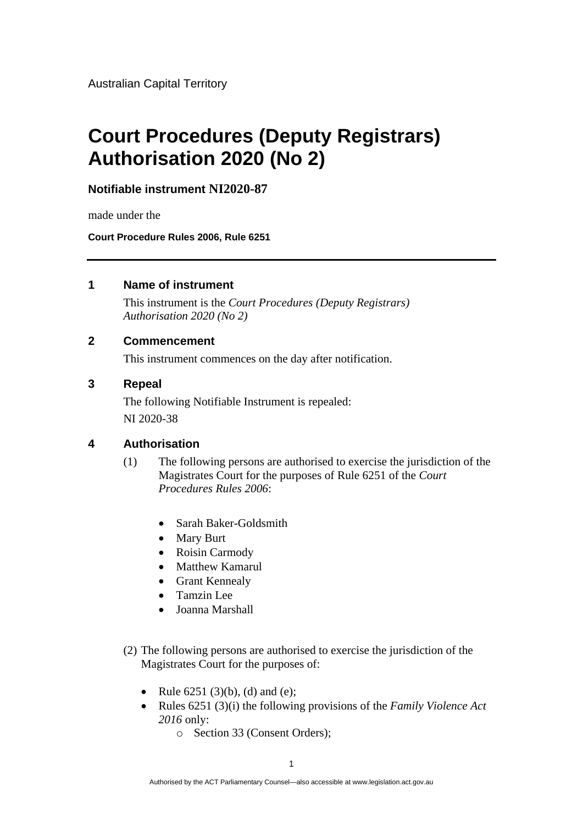Australian Capital Territory

# **Court Procedures (Deputy Registrars) Authorisation 2020 (No 2)**

**Notifiable instrument NI2020-87**

made under the

**Court Procedure Rules 2006, Rule 6251**

### **1 Name of instrument**

This instrument is the *Court Procedures (Deputy Registrars) Authorisation 2020 (No 2)*

## **2 Commencement**

This instrument commences on the day after notification.

### **3 Repeal**

The following Notifiable Instrument is repealed: NI 2020-38

## **4 Authorisation**

- (1) The following persons are authorised to exercise the jurisdiction of the Magistrates Court for the purposes of Rule 6251 of the *Court Procedures Rules 2006*:
	- Sarah Baker-Goldsmith
	- Mary Burt
	- Roisin Carmody
	- Matthew Kamarul
	- Grant Kennealy
	- Tamzin Lee
	- Joanna Marshall
- (2) The following persons are authorised to exercise the jurisdiction of the Magistrates Court for the purposes of:
	- Rule  $6251 (3)(b)$ , (d) and (e);
	- Rules 6251 (3)(i) the following provisions of the *Family Violence Act 2016* only:
		- o Section 33 (Consent Orders);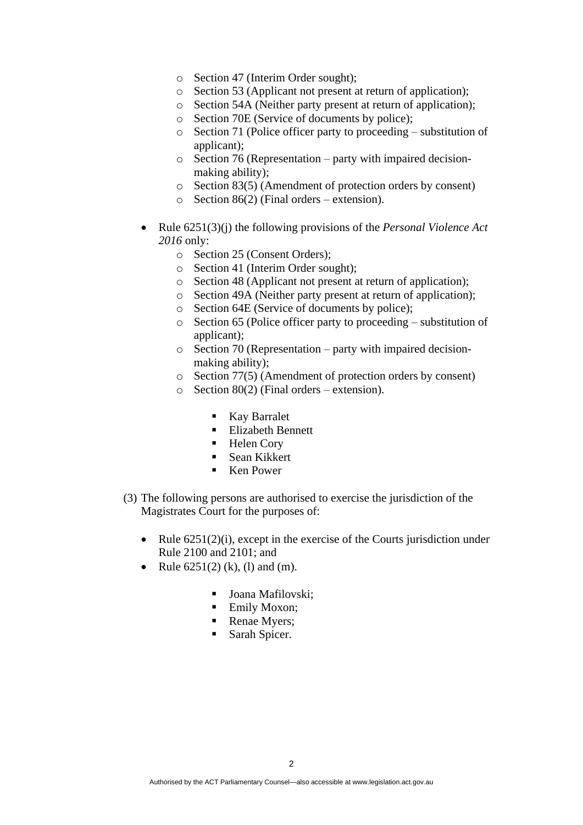- o Section 47 (Interim Order sought);
- o Section 53 (Applicant not present at return of application);
- o Section 54A (Neither party present at return of application);
- o Section 70E (Service of documents by police);
- o Section 71 (Police officer party to proceeding substitution of applicant);
- o Section 76 (Representation party with impaired decisionmaking ability);
- o Section 83(5) (Amendment of protection orders by consent)
- $\circ$  Section 86(2) (Final orders extension).
- Rule 6251(3)(j) the following provisions of the *Personal Violence Act 2016* only:
	- o Section 25 (Consent Orders);
	- o Section 41 (Interim Order sought);
	- o Section 48 (Applicant not present at return of application);
	- o Section 49A (Neither party present at return of application);
	- o Section 64E (Service of documents by police);
	- o Section 65 (Police officer party to proceeding substitution of applicant);
	- o Section 70 (Representation party with impaired decisionmaking ability);
	- o Section 77(5) (Amendment of protection orders by consent)
	- $\circ$  Section 80(2) (Final orders extension).
		- Kay Barralet
		- Elizabeth Bennett
		- Helen Cory
		- Sean Kikkert
		- Ken Power
- (3) The following persons are authorised to exercise the jurisdiction of the Magistrates Court for the purposes of:
	- Rule  $6251(2)(i)$ , except in the exercise of the Courts jurisdiction under Rule 2100 and 2101; and
	- Rule  $6251(2)$  (k), (l) and (m).
		- Joana Mafilovski;
		- **Emily Moxon:**
		- Renae Myers;
		- Sarah Spicer.